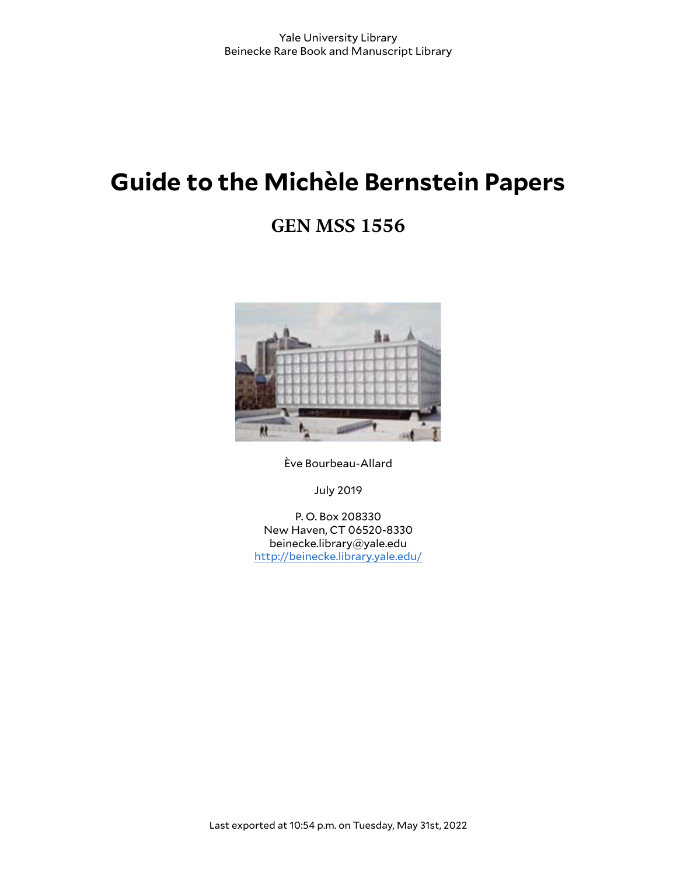# **Guide to the Michèle Bernstein Papers**

# **GEN MSS 1556**



Ève Bourbeau-Allard

July 2019

P. O. Box 208330 New Haven, CT 06520-8330 beinecke.library@yale.edu <http://beinecke.library.yale.edu/>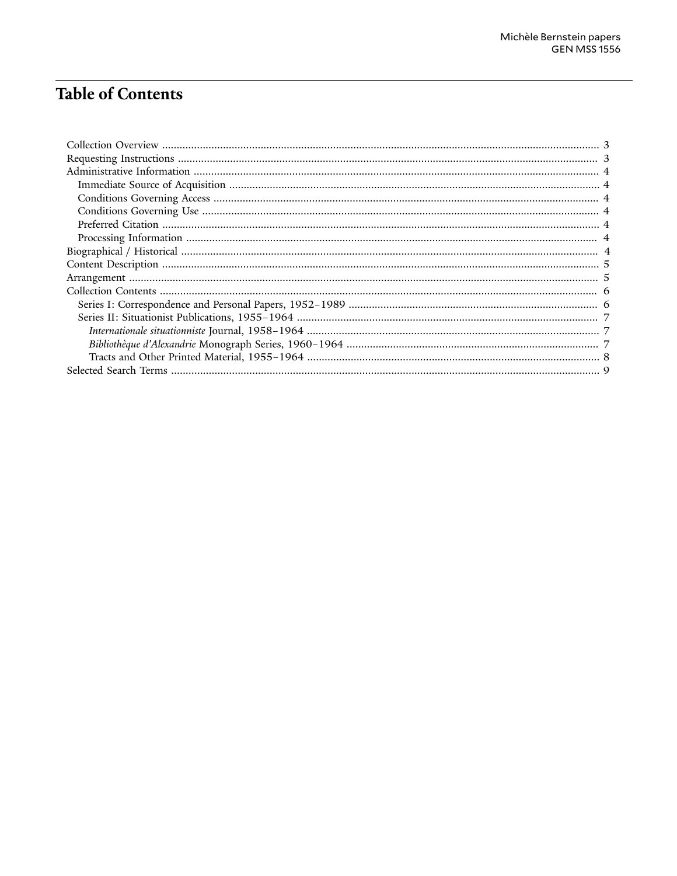# **Table of Contents**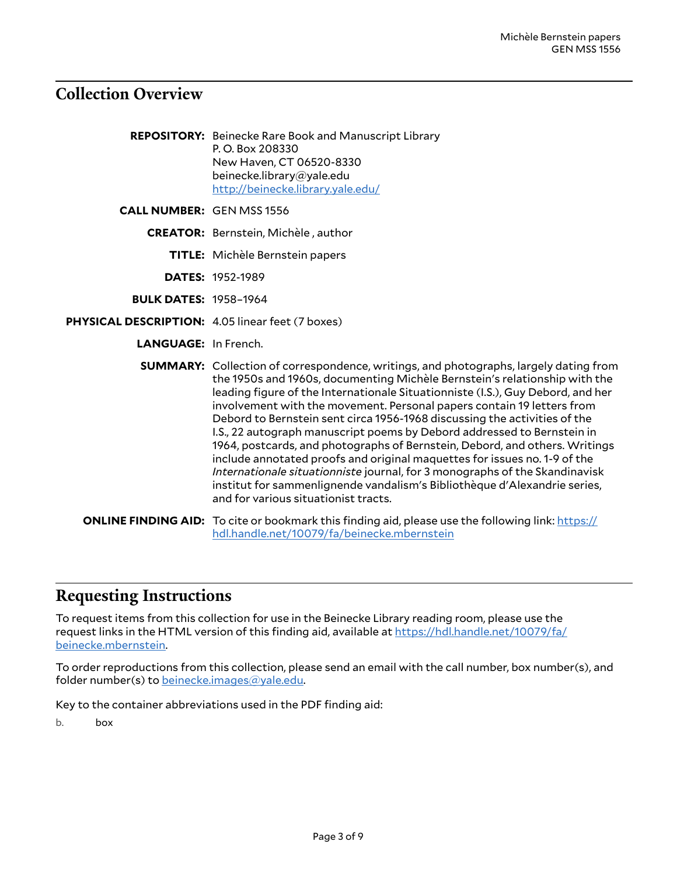### <span id="page-2-0"></span>**Collection Overview**

- **REPOSITORY:** Beinecke Rare Book and Manuscript Library P. O. Box 208330 New Haven, CT 06520-8330 beinecke.library@yale.edu <http://beinecke.library.yale.edu/>
- **CALL NUMBER:** GEN MSS 1556
	- **CREATOR:** Bernstein, Michèle , author
		- **TITLE:** Michèle Bernstein papers
		- **DATES:** 1952-1989
	- **BULK DATES:** 1958–1964
- **PHYSICAL DESCRIPTION:** 4.05 linear feet (7 boxes)
	- **LANGUAGE:** In French.
	- **SUMMARY:** Collection of correspondence, writings, and photographs, largely dating from the 1950s and 1960s, documenting Michèle Bernstein's relationship with the leading figure of the Internationale Situationniste (I.S.), Guy Debord, and her involvement with the movement. Personal papers contain 19 letters from Debord to Bernstein sent circa 1956-1968 discussing the activities of the I.S., 22 autograph manuscript poems by Debord addressed to Bernstein in 1964, postcards, and photographs of Bernstein, Debord, and others. Writings include annotated proofs and original maquettes for issues no. 1-9 of the *Internationale situationniste* journal, for 3 monographs of the Skandinavisk institut for sammenlignende vandalism's Bibliothèque d'Alexandrie series, and for various situationist tracts.
	- **ONLINE FINDING AID:** To cite or bookmark this finding aid, please use the following link: [https://](https://hdl.handle.net/10079/fa/beinecke.mbernstein) [hdl.handle.net/10079/fa/beinecke.mbernstein](https://hdl.handle.net/10079/fa/beinecke.mbernstein)

#### <span id="page-2-1"></span>**Requesting Instructions**

To request items from this collection for use in the Beinecke Library reading room, please use the request links in the HTML version of this finding aid, available at [https://hdl.handle.net/10079/fa/](https://hdl.handle.net/10079/fa/beinecke.mbernstein) [beinecke.mbernstein.](https://hdl.handle.net/10079/fa/beinecke.mbernstein)

To order reproductions from this collection, please send an email with the call number, box number(s), and folder number(s) to [beinecke.images@yale.edu.](mailto:beinecke.images@yale.edu)

Key to the container abbreviations used in the PDF finding aid:

b. box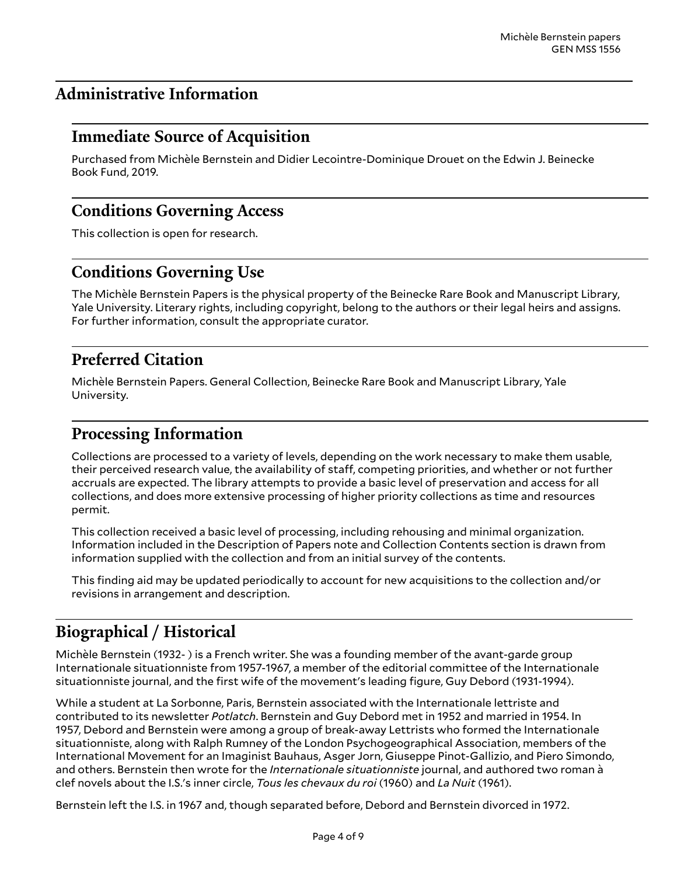### <span id="page-3-0"></span>**Administrative Information**

### <span id="page-3-1"></span>**Immediate Source of Acquisition**

Purchased from Michèle Bernstein and Didier Lecointre-Dominique Drouet on the Edwin J. Beinecke Book Fund, 2019.

### <span id="page-3-2"></span>**Conditions Governing Access**

This collection is open for research.

### <span id="page-3-3"></span>**Conditions Governing Use**

The Michèle Bernstein Papers is the physical property of the Beinecke Rare Book and Manuscript Library, Yale University. Literary rights, including copyright, belong to the authors or their legal heirs and assigns. For further information, consult the appropriate curator.

### <span id="page-3-4"></span>**Preferred Citation**

Michèle Bernstein Papers. General Collection, Beinecke Rare Book and Manuscript Library, Yale University.

### <span id="page-3-5"></span>**Processing Information**

Collections are processed to a variety of levels, depending on the work necessary to make them usable, their perceived research value, the availability of staff, competing priorities, and whether or not further accruals are expected. The library attempts to provide a basic level of preservation and access for all collections, and does more extensive processing of higher priority collections as time and resources permit.

This collection received a basic level of processing, including rehousing and minimal organization. Information included in the Description of Papers note and Collection Contents section is drawn from information supplied with the collection and from an initial survey of the contents.

This finding aid may be updated periodically to account for new acquisitions to the collection and/or revisions in arrangement and description.

## <span id="page-3-6"></span>**Biographical / Historical**

Michèle Bernstein (1932- ) is a French writer. She was a founding member of the avant-garde group Internationale situationniste from 1957-1967, a member of the editorial committee of the Internationale situationniste journal, and the first wife of the movement's leading figure, Guy Debord (1931-1994).

While a student at La Sorbonne, Paris, Bernstein associated with the Internationale lettriste and contributed to its newsletter *Potlatch*. Bernstein and Guy Debord met in 1952 and married in 1954. In 1957, Debord and Bernstein were among a group of break-away Lettrists who formed the Internationale situationniste, along with Ralph Rumney of the London Psychogeographical Association, members of the International Movement for an Imaginist Bauhaus, Asger Jorn, Giuseppe Pinot-Gallizio, and Piero Simondo, and others. Bernstein then wrote for the *Internationale situationniste* journal, and authored two roman à clef novels about the I.S.'s inner circle, *Tous les chevaux du roi* (1960) and *La Nuit* (1961).

Bernstein left the I.S. in 1967 and, though separated before, Debord and Bernstein divorced in 1972.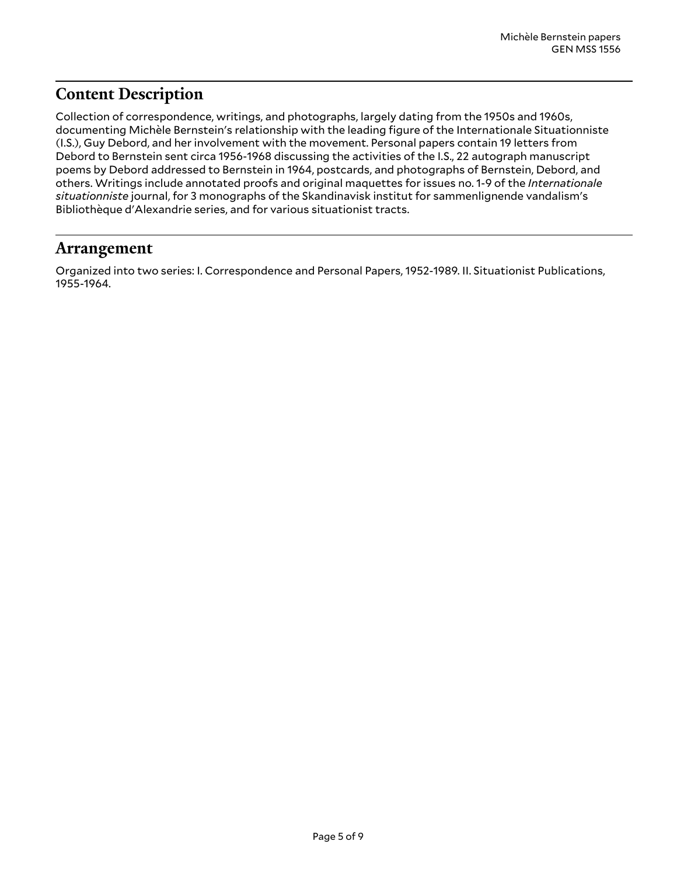### <span id="page-4-0"></span>**Content Description**

Collection of correspondence, writings, and photographs, largely dating from the 1950s and 1960s, documenting Michèle Bernstein's relationship with the leading figure of the Internationale Situationniste (I.S.), Guy Debord, and her involvement with the movement. Personal papers contain 19 letters from Debord to Bernstein sent circa 1956-1968 discussing the activities of the I.S., 22 autograph manuscript poems by Debord addressed to Bernstein in 1964, postcards, and photographs of Bernstein, Debord, and others. Writings include annotated proofs and original maquettes for issues no. 1-9 of the *Internationale situationniste* journal, for 3 monographs of the Skandinavisk institut for sammenlignende vandalism's Bibliothèque d'Alexandrie series, and for various situationist tracts.

### <span id="page-4-1"></span>**Arrangement**

Organized into two series: I. Correspondence and Personal Papers, 1952-1989. II. Situationist Publications, 1955-1964.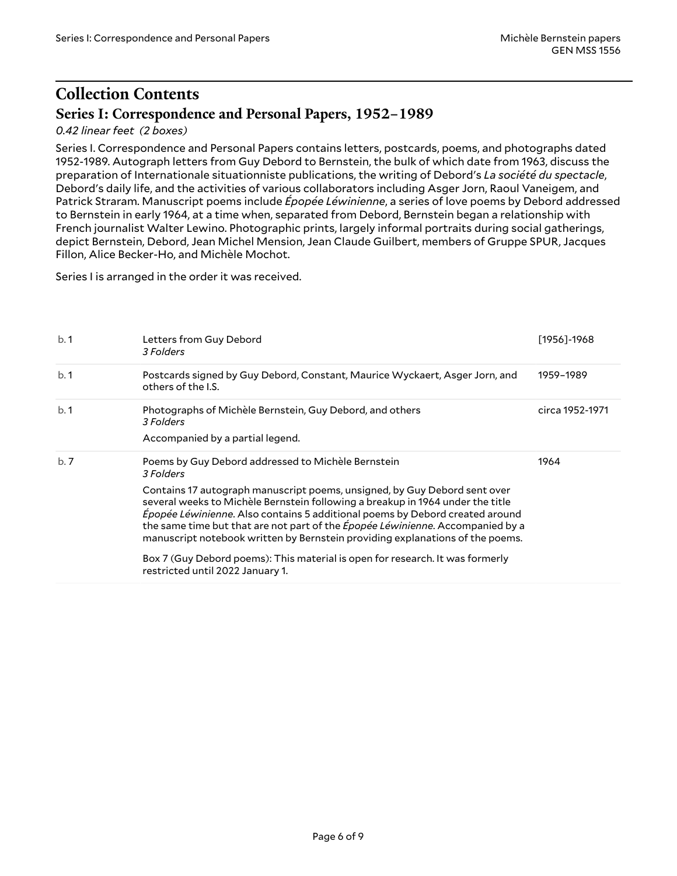## <span id="page-5-0"></span>**Collection Contents Series I: Correspondence and Personal Papers, 1952–1989**

#### <span id="page-5-1"></span>*0.42 linear feet (2 boxes)*

Series I. Correspondence and Personal Papers contains letters, postcards, poems, and photographs dated 1952-1989. Autograph letters from Guy Debord to Bernstein, the bulk of which date from 1963, discuss the preparation of Internationale situationniste publications, the writing of Debord's *La société du spectacle*, Debord's daily life, and the activities of various collaborators including Asger Jorn, Raoul Vaneigem, and Patrick Straram. Manuscript poems include *Épopée Léwinienne*, a series of love poems by Debord addressed to Bernstein in early 1964, at a time when, separated from Debord, Bernstein began a relationship with French journalist Walter Lewino. Photographic prints, largely informal portraits during social gatherings, depict Bernstein, Debord, Jean Michel Mension, Jean Claude Guilbert, members of Gruppe SPUR, Jacques Fillon, Alice Becker-Ho, and Michèle Mochot.

Series I is arranged in the order it was received.

| b.1 | Letters from Guy Debord<br>3 Folders                                                                                                                                                                                                                                                                                                                                                                           | $[1956] - 1968$ |
|-----|----------------------------------------------------------------------------------------------------------------------------------------------------------------------------------------------------------------------------------------------------------------------------------------------------------------------------------------------------------------------------------------------------------------|-----------------|
| b.1 | Postcards signed by Guy Debord, Constant, Maurice Wyckaert, Asger Jorn, and<br>others of the I.S.                                                                                                                                                                                                                                                                                                              | 1959–1989       |
| b.1 | Photographs of Michèle Bernstein, Guy Debord, and others<br>3 Folders                                                                                                                                                                                                                                                                                                                                          | circa 1952-1971 |
|     | Accompanied by a partial legend.                                                                                                                                                                                                                                                                                                                                                                               |                 |
| b.7 | Poems by Guy Debord addressed to Michèle Bernstein<br>3 Folders                                                                                                                                                                                                                                                                                                                                                | 1964            |
|     | Contains 17 autograph manuscript poems, unsigned, by Guy Debord sent over<br>several weeks to Michèle Bernstein following a breakup in 1964 under the title<br>Épopée Léwinienne. Also contains 5 additional poems by Debord created around<br>the same time but that are not part of the Épopée Léwinienne. Accompanied by a<br>manuscript notebook written by Bernstein providing explanations of the poems. |                 |
|     | Box 7 (Guy Debord poems): This material is open for research. It was formerly<br>restricted until 2022 January 1.                                                                                                                                                                                                                                                                                              |                 |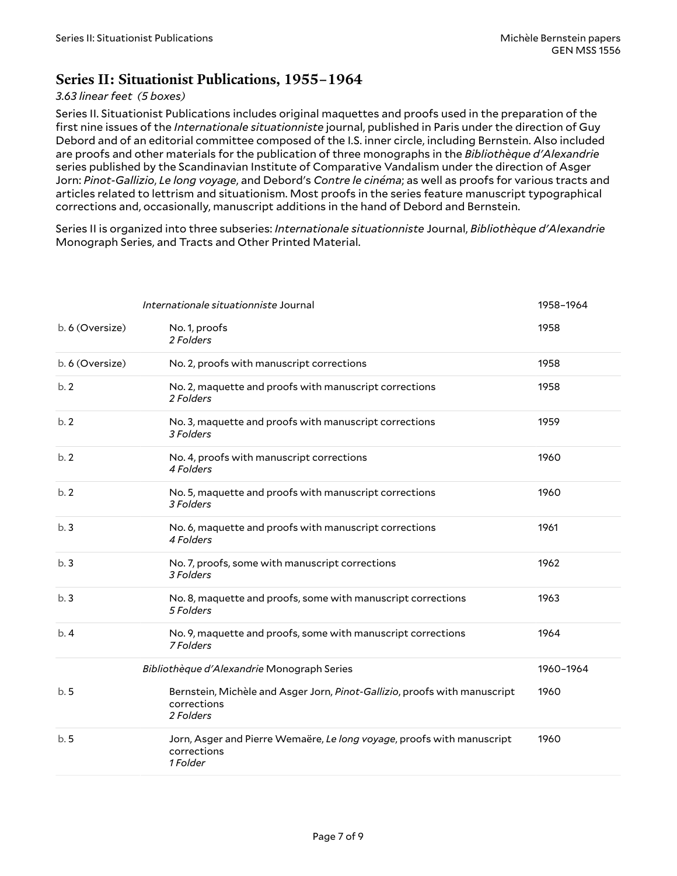### <span id="page-6-0"></span>**Series II: Situationist Publications, 1955–1964**

#### *3.63 linear feet (5 boxes)*

Series II. Situationist Publications includes original maquettes and proofs used in the preparation of the first nine issues of the *Internationale situationniste* journal, published in Paris under the direction of Guy Debord and of an editorial committee composed of the I.S. inner circle, including Bernstein. Also included are proofs and other materials for the publication of three monographs in the *Bibliothèque d'Alexandrie* series published by the Scandinavian Institute of Comparative Vandalism under the direction of Asger Jorn: *Pinot-Gallizio*, *Le long voyage*, and Debord's *Contre le cinéma*; as well as proofs for various tracts and articles related to lettrism and situationism. Most proofs in the series feature manuscript typographical corrections and, occasionally, manuscript additions in the hand of Debord and Bernstein.

Series II is organized into three subseries: *Internationale situationniste* Journal, *Bibliothèque d'Alexandrie* Monograph Series, and Tracts and Other Printed Material.

<span id="page-6-2"></span><span id="page-6-1"></span>

| Internationale situationniste Journal |                                                                                                       | 1958-1964 |
|---------------------------------------|-------------------------------------------------------------------------------------------------------|-----------|
| b. 6 (Oversize)                       | No. 1, proofs<br>2 Folders                                                                            | 1958      |
| b. 6 (Oversize)                       | No. 2, proofs with manuscript corrections                                                             | 1958      |
| b.2                                   | No. 2, maquette and proofs with manuscript corrections<br>2 Folders                                   | 1958      |
| b.2                                   | No. 3, maquette and proofs with manuscript corrections<br>3 Folders                                   | 1959      |
| b.2                                   | No. 4, proofs with manuscript corrections<br>4 Folders                                                | 1960      |
| b.2                                   | No. 5, maquette and proofs with manuscript corrections<br>3 Folders                                   | 1960      |
| b.3                                   | No. 6, maquette and proofs with manuscript corrections<br>4 Folders                                   | 1961      |
| b.3                                   | No. 7, proofs, some with manuscript corrections<br>3 Folders                                          | 1962      |
| b.3                                   | No. 8, maquette and proofs, some with manuscript corrections<br>5 Folders                             | 1963      |
| b.4                                   | No. 9, maquette and proofs, some with manuscript corrections<br>7 Folders                             | 1964      |
|                                       | Bibliothèque d'Alexandrie Monograph Series                                                            | 1960-1964 |
| b.5                                   | Bernstein, Michèle and Asger Jorn, Pinot-Gallizio, proofs with manuscript<br>corrections<br>2 Folders | 1960      |
| b.5                                   | Jorn, Asger and Pierre Wemaëre, Le long voyage, proofs with manuscript<br>corrections<br>1 Folder     | 1960      |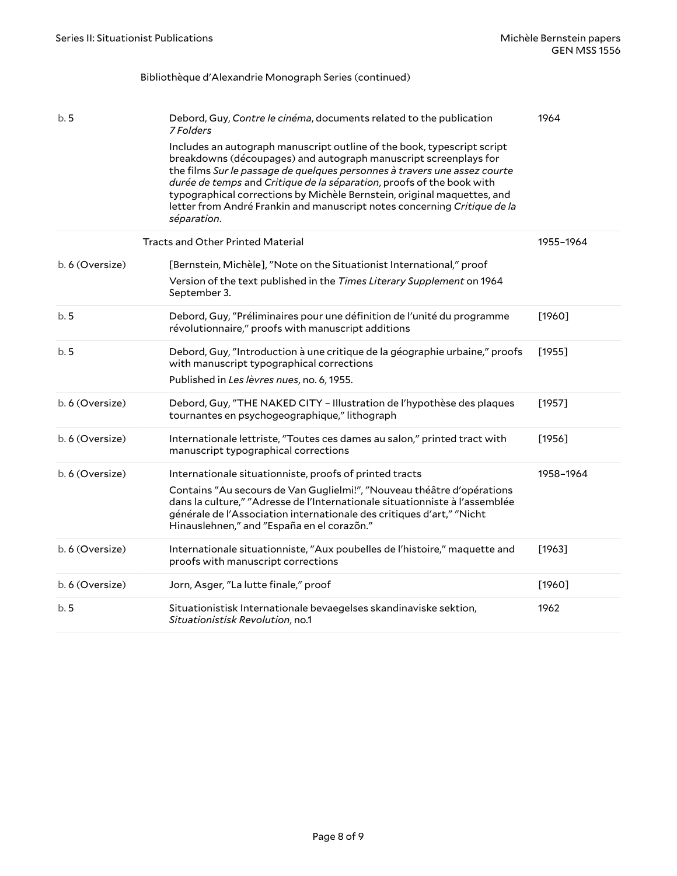#### Bibliothèque d'Alexandrie Monograph Series (continued)

<span id="page-7-0"></span>

| b.5             | Debord, Guy, Contre le cinéma, documents related to the publication<br>7 Folders<br>Includes an autograph manuscript outline of the book, typescript script<br>breakdowns (découpages) and autograph manuscript screenplays for<br>the films Sur le passage de quelques personnes à travers une assez courte<br>durée de temps and Critique de la séparation, proofs of the book with<br>typographical corrections by Michèle Bernstein, original maquettes, and<br>letter from André Frankin and manuscript notes concerning Critique de la<br>séparation. | 1964      |
|-----------------|-------------------------------------------------------------------------------------------------------------------------------------------------------------------------------------------------------------------------------------------------------------------------------------------------------------------------------------------------------------------------------------------------------------------------------------------------------------------------------------------------------------------------------------------------------------|-----------|
|                 | <b>Tracts and Other Printed Material</b>                                                                                                                                                                                                                                                                                                                                                                                                                                                                                                                    | 1955-1964 |
| b. 6 (Oversize) | [Bernstein, Michèle], "Note on the Situationist International," proof<br>Version of the text published in the Times Literary Supplement on 1964<br>September 3.                                                                                                                                                                                                                                                                                                                                                                                             |           |
| b.5             | Debord, Guy, "Préliminaires pour une définition de l'unité du programme<br>révolutionnaire," proofs with manuscript additions                                                                                                                                                                                                                                                                                                                                                                                                                               | $[1960]$  |
| b.5             | Debord, Guy, "Introduction à une critique de la géographie urbaine," proofs<br>with manuscript typographical corrections<br>Published in Les lèvres nues, no. 6, 1955.                                                                                                                                                                                                                                                                                                                                                                                      | [1955]    |
| b. 6 (Oversize) | Debord, Guy, "THE NAKED CITY - Illustration de l'hypothèse des plaques<br>tournantes en psychogeographique," lithograph                                                                                                                                                                                                                                                                                                                                                                                                                                     | [1957]    |
| b. 6 (Oversize) | Internationale lettriste, "Toutes ces dames au salon," printed tract with<br>manuscript typographical corrections                                                                                                                                                                                                                                                                                                                                                                                                                                           | $[1956]$  |
| b. 6 (Oversize) | Internationale situationniste, proofs of printed tracts<br>Contains "Au secours de Van Guglielmi!", "Nouveau théâtre d'opérations<br>dans la culture," "Adresse de l'Internationale situationniste à l'assemblée<br>générale de l'Association internationale des critiques d'art," "Nicht<br>Hinauslehnen," and "España en el corazón."                                                                                                                                                                                                                     | 1958-1964 |
| b. 6 (Oversize) | Internationale situationniste, "Aux poubelles de l'histoire," maquette and<br>proofs with manuscript corrections                                                                                                                                                                                                                                                                                                                                                                                                                                            | [1963]    |
| b. 6 (Oversize) | Jorn, Asger, "La lutte finale," proof                                                                                                                                                                                                                                                                                                                                                                                                                                                                                                                       | $[1960]$  |
| b.5             | Situationistisk Internationale bevaegelses skandinaviske sektion,<br>Situationistisk Revolution, no.1                                                                                                                                                                                                                                                                                                                                                                                                                                                       | 1962      |